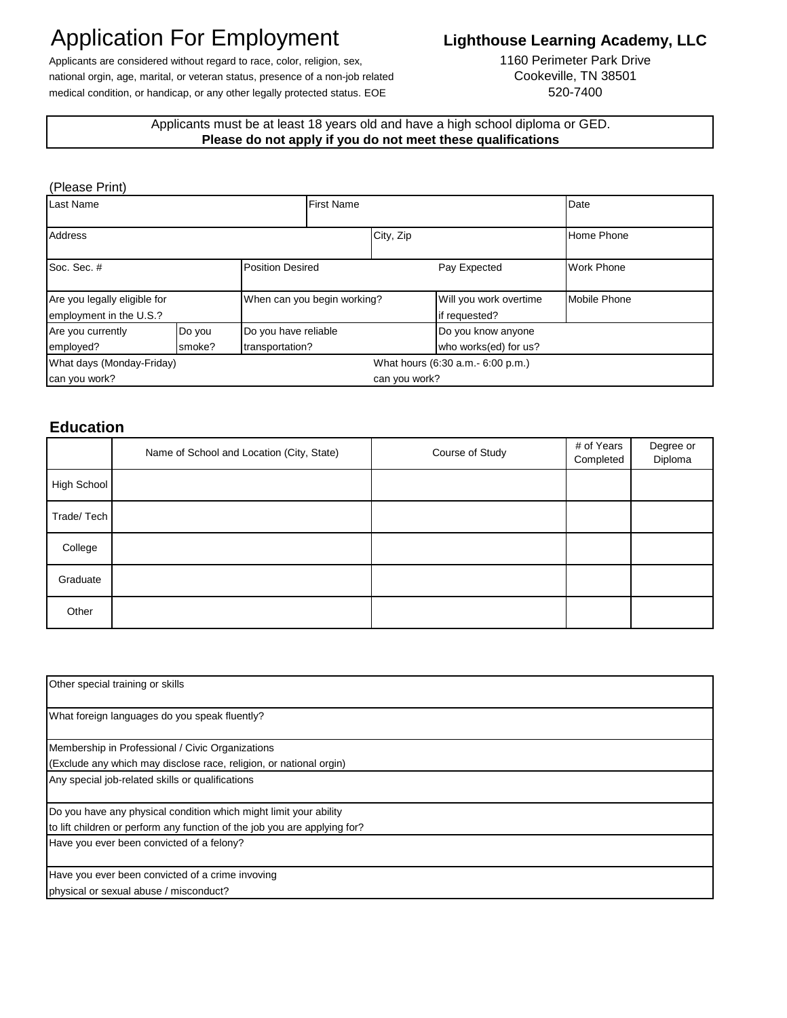# Application For Employment

## **Lighthouse Learning Academy, LLC**

Applicants are considered without regard to race, color, religion, sex, national orgin, age, marital, or veteran status, presence of a non-job related medical condition, or handicap, or any other legally protected status. EOE

1160 Perimeter Park Drive Cookeville, TN 38501 520-7400

### Applicants must be at least 18 years old and have a high school diploma or GED. **Please do not apply if you do not meet these qualifications**

#### (Please Print)

| Last Name                                               |        | <b>First Name</b>           |               | Date                                    |              |  |
|---------------------------------------------------------|--------|-----------------------------|---------------|-----------------------------------------|--------------|--|
| <b>Address</b>                                          |        |                             | City, Zip     |                                         | Home Phone   |  |
| Soc. Sec. #<br><b>Position Desired</b>                  |        | Pay Expected                |               | <b>Work Phone</b>                       |              |  |
| Are you legally eligible for<br>employment in the U.S.? |        | When can you begin working? |               | Will you work overtime<br>if requested? | Mobile Phone |  |
| Are you currently                                       | Do you | Do you have reliable        |               | Do you know anyone                      |              |  |
| employed?                                               | smoke? | transportation?             |               | who works(ed) for us?                   |              |  |
| What days (Monday-Friday)                               |        |                             |               | What hours (6:30 a.m. - 6:00 p.m.)      |              |  |
| can you work?                                           |        |                             | can you work? |                                         |              |  |

## **Education**

|             | Name of School and Location (City, State) | Course of Study | # of Years<br>Completed | Degree or<br>Diploma |
|-------------|-------------------------------------------|-----------------|-------------------------|----------------------|
| High School |                                           |                 |                         |                      |
| Trade/Tech  |                                           |                 |                         |                      |
| College     |                                           |                 |                         |                      |
| Graduate    |                                           |                 |                         |                      |
| Other       |                                           |                 |                         |                      |

| Other special training or skills                                          |  |  |
|---------------------------------------------------------------------------|--|--|
| What foreign languages do you speak fluently?                             |  |  |
| Membership in Professional / Civic Organizations                          |  |  |
| (Exclude any which may disclose race, religion, or national orgin)        |  |  |
| Any special job-related skills or qualifications                          |  |  |
| Do you have any physical condition which might limit your ability         |  |  |
| to lift children or perform any function of the job you are applying for? |  |  |
| Have you ever been convicted of a felony?                                 |  |  |
| Have you ever been convicted of a crime invoving                          |  |  |
| physical or sexual abuse / misconduct?                                    |  |  |